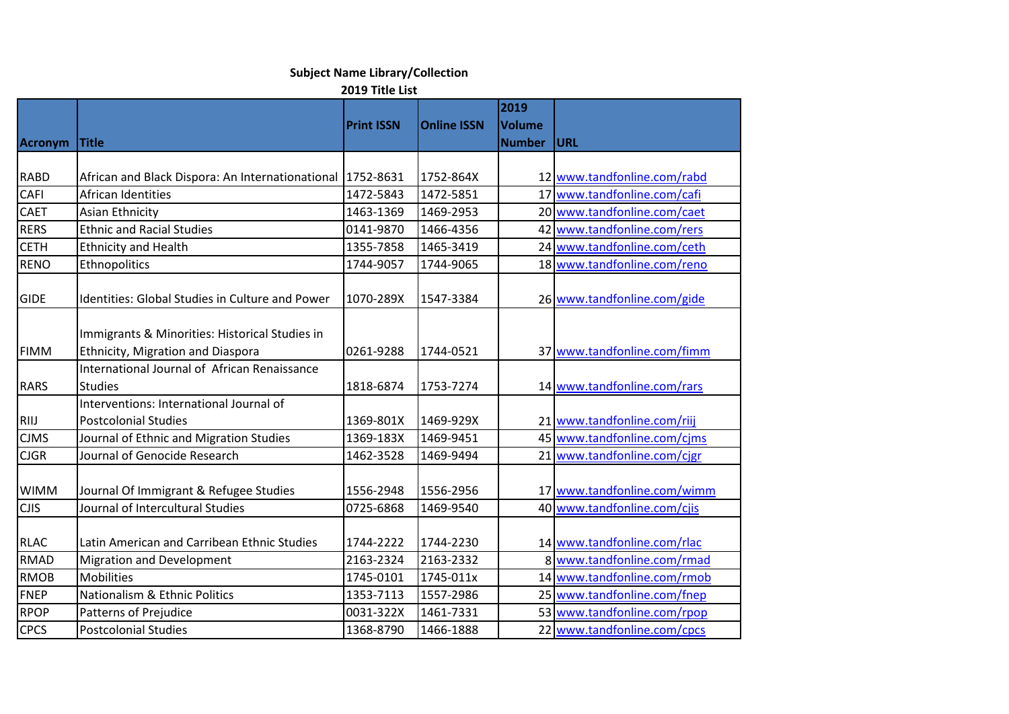## **Subject Name Library/Collection**

**2019 Title List**

|                |                                                                                     | <b>Print ISSN</b> | <b>Online ISSN</b> | 2019<br><b>Volume</b> |                             |
|----------------|-------------------------------------------------------------------------------------|-------------------|--------------------|-----------------------|-----------------------------|
| <b>Acronym</b> | <b>Title</b>                                                                        |                   |                    | <b>Number</b>         | <b>URL</b>                  |
|                |                                                                                     |                   |                    |                       |                             |
| <b>RABD</b>    | African and Black Dispora: An Internationational   1752-8631                        |                   | 1752-864X          |                       | 12 www.tandfonline.com/rabd |
| <b>CAFI</b>    | African Identities                                                                  | 1472-5843         | 1472-5851          |                       | 17 www.tandfonline.com/cafi |
| <b>CAET</b>    | Asian Ethnicity                                                                     | 1463-1369         | 1469-2953          |                       | 20 www.tandfonline.com/caet |
| <b>RERS</b>    | <b>Ethnic and Racial Studies</b>                                                    | 0141-9870         | 1466-4356          |                       | 42 www.tandfonline.com/rers |
| <b>CETH</b>    | <b>Ethnicity and Health</b>                                                         | 1355-7858         | 1465-3419          |                       | 24 www.tandfonline.com/ceth |
| <b>RENO</b>    | Ethnopolitics                                                                       | 1744-9057         | 1744-9065          |                       | 18 www.tandfonline.com/reno |
| <b>GIDE</b>    | <b>Identities: Global Studies in Culture and Power</b>                              | 1070-289X         | 1547-3384          |                       | 26 www.tandfonline.com/gide |
| <b>FIMM</b>    | Immigrants & Minorities: Historical Studies in<br>Ethnicity, Migration and Diaspora | 0261-9288         | 1744-0521          |                       | 37 www.tandfonline.com/fimm |
| <b>RARS</b>    | International Journal of African Renaissance<br><b>Studies</b>                      | 1818-6874         | 1753-7274          |                       | 14 www.tandfonline.com/rars |
|                | Interventions: International Journal of                                             |                   |                    |                       |                             |
| RIIJ           | <b>Postcolonial Studies</b>                                                         | 1369-801X         | 1469-929X          |                       | 21 www.tandfonline.com/riij |
| <b>CJMS</b>    | Journal of Ethnic and Migration Studies                                             | 1369-183X         | 1469-9451          |                       | 45 www.tandfonline.com/cjms |
| <b>CJGR</b>    | Journal of Genocide Research                                                        | 1462-3528         | 1469-9494          |                       | 21 www.tandfonline.com/cjgr |
| <b>WIMM</b>    | Journal Of Immigrant & Refugee Studies                                              | 1556-2948         | 1556-2956          |                       | 17 www.tandfonline.com/wimm |
| <b>CJIS</b>    | Journal of Intercultural Studies                                                    | 0725-6868         | 1469-9540          |                       | 40 www.tandfonline.com/cjis |
| <b>RLAC</b>    | Latin American and Carribean Ethnic Studies                                         | 1744-2222         | 1744-2230          |                       | 14 www.tandfonline.com/rlac |
| <b>RMAD</b>    | <b>Migration and Development</b>                                                    | 2163-2324         | 2163-2332          |                       | 8 www.tandfonline.com/rmad  |
| <b>RMOB</b>    | <b>Mobilities</b>                                                                   | 1745-0101         | 1745-011x          |                       | 14 www.tandfonline.com/rmob |
| <b>FNEP</b>    | Nationalism & Ethnic Politics                                                       | 1353-7113         | 1557-2986          |                       | 25 www.tandfonline.com/fnep |
| <b>RPOP</b>    | Patterns of Prejudice                                                               | 0031-322X         | 1461-7331          |                       | 53 www.tandfonline.com/rpop |
| <b>CPCS</b>    | <b>Postcolonial Studies</b>                                                         | 1368-8790         | 1466-1888          |                       | 22 www.tandfonline.com/cpcs |